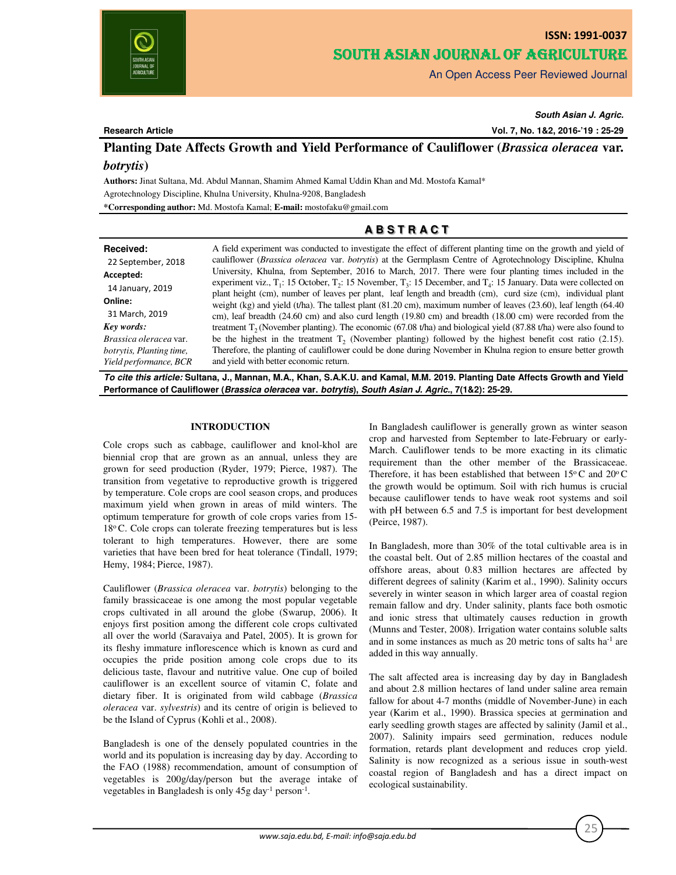

# **ISSN: 1991-0037** SOUTH ASIAN JOURNAL OF AGRICULTURE

An Open Access Peer Reviewed Journal

# **Research Article**

*South Asian J. Agric.*

**Vol. 7, No. 1&2, 2016-'19 : 25-29**

**Planting Date Affects Growth and Yield Performance of Cauliflower (***Brassica oleracea* **var.**

# *botrytis***)**

**Authors:** Jinat Sultana, Md. Abdul Mannan, Shamim Ahmed Kamal Uddin Khan and Md. Mostofa Kamal\* Agrotechnology Discipline, Khulna University, Khulna-9208, Bangladesh

**\*Corresponding author:** Md. Mostofa Kamal; **E-mail:** mostofaku@gmail.com

# **A B S T R A C T**

*To cite this article:* **Sultana, J., Mannan, M.A., Khan, S.A.K.U. and Kamal, M.M. 2019. Planting Date Affects Growth and Yield Performance of Cauliflower (***Brassica oleracea* **var.** *botrytis***),** *South Asian J. Agric.***, 7(1&2): 25-29.**

Cole crops such as cabbage, cauliflower and knol-khol are biennial crop that are grown as an annual, unless they are grown for seed production (Ryder, 1979; Pierce, 1987). The transition from vegetative to reproductive growth is triggered by temperature. Cole crops are cool season crops, and produces maximum yield when grown in areas of mild winters. The optimum temperature for growth of cole crops varies from 15- 18°C. Cole crops can tolerate freezing temperatures but is less tolerant to high temperatures. However, there are some varieties that have been bred for heat tolerance (Tindall, 1979; Hemy, 1984; Pierce, 1987).

Cauliflower (*Brassica oleracea* var. *botrytis*) belonging to the family brassicaceae is one among the most popular vegetable crops cultivated in all around the globe (Swarup, 2006). It enjoys first position among the different cole crops cultivated all over the world (Saravaiya and Patel, 2005). It is grown for its fleshy immature inflorescence which is known as curd and occupies the pride position among cole crops due to its delicious taste, flavour and nutritive value. One cup of boiled cauliflower is an excellent source of vitamin C, folate and dietary fiber. It is originated from wild cabbage (*Brassica oleracea* var. *sylvestris*) and its centre of origin is believed to be the Island of Cyprus (Kohli et al., 2008).

Bangladesh is one of the densely populated countries in the world and its population is increasing day by day. According to the FAO (1988) recommendation, amount of consumption of vegetables is 200g/day/person but the average intake of vegetables in Bangladesh is only 45g day<sup>-1</sup> person<sup>-1</sup>.

**INTRODUCTION** In Bangladesh cauliflower is generally grown as winter season crop and harvested from September to late-February or early-March. Cauliflower tends to be more exacting in its climatic requirement than the other member of the Brassicaceae. Therefore, it has been established that between  $15^{\circ}$ C and  $20^{\circ}$ C the growth would be optimum. Soil with rich humus is crucial because cauliflower tends to have weak root systems and soil with pH between 6.5 and 7.5 is important for best development (Peirce, 1987).

> In Bangladesh, more than 30% of the total cultivable area is in the coastal belt. Out of 2.85 million hectares of the coastal and offshore areas, about 0.83 million hectares are affected by different degrees of salinity (Karim et al., 1990). Salinity occurs severely in winter season in which larger area of coastal region remain fallow and dry. Under salinity, plants face both osmotic and ionic stress that ultimately causes reduction in growth (Munns and Tester, 2008). Irrigation water contains soluble salts and in some instances as much as 20 metric tons of salts ha-1 are added in this way annually.

> The salt affected area is increasing day by day in Bangladesh and about 2.8 million hectares of land under saline area remain fallow for about 4-7 months (middle of November-June) in each year (Karim et al., 1990). Brassica species at germination and early seedling growth stages are affected by salinity (Jamil et al., 2007). Salinity impairs seed germination, reduces nodule formation, retards plant development and reduces crop yield. Salinity is now recognized as a serious issue in south-west coastal region of Bangladesh and has a direct impact on ecological sustainability.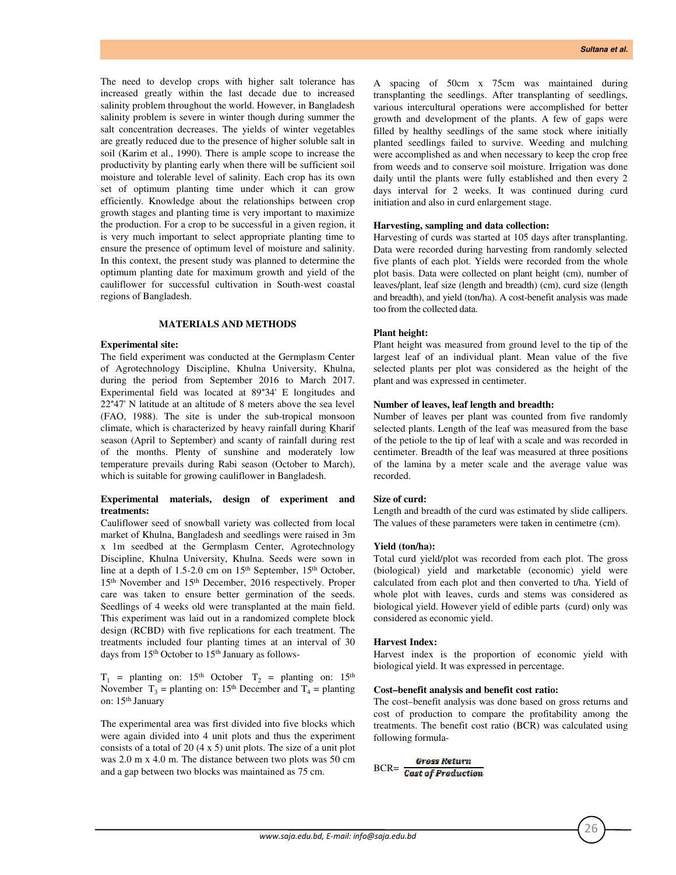The need to develop crops with higher salt tolerance has increased greatly within the last decade due to increased salinity problem throughout the world. However, in Bangladesh salinity problem is severe in winter though during summer the salt concentration decreases. The yields of winter vegetables are greatly reduced due to the presence of higher soluble salt in soil (Karim et al., 1990). There is ample scope to increase the productivity by planting early when there will be sufficient soil moisture and tolerable level of salinity. Each crop has its own set of optimum planting time under which it can grow efficiently. Knowledge about the relationships between crop growth stages and planting time is very important to maximize the production. For a crop to be successful in a given region, it is very much important to select appropriate planting time to ensure the presence of optimum level of moisture and salinity. In this context, the present study was planned to determine the optimum planting date for maximum growth and yield of the cauliflower for successful cultivation in South-west coastal regions of Bangladesh.

### **MATERIALS AND METHODS**

# **Experimental site:**

The field experiment was conducted at the Germplasm Center of Agrotechnology Discipline, Khulna University, Khulna, during the period from September 2016 to March 2017. Experimental field was located at 89°34' E longitudes and 22°47' N latitude at an altitude of 8 meters above the sea level (FAO, 1988). The site is under the sub-tropical monsoon climate, which is characterized by heavy rainfall during Kharif season (April to September) and scanty of rainfall during rest of the months. Plenty of sunshine and moderately low temperature prevails during Rabi season (October to March), which is suitable for growing cauliflower in Bangladesh.

## **Experimental materials, design of experiment and treatments:**

Cauliflower seed of snowball variety was collected from local market of Khulna, Bangladesh and seedlings were raised in 3m x 1m seedbed at the Germplasm Center, Agrotechnology Discipline, Khulna University, Khulna. Seeds were sown in line at a depth of 1.5-2.0 cm on 15th September, 15th October, 15th November and 15th December, 2016 respectively. Proper care was taken to ensure better germination of the seeds. Seedlings of 4 weeks old were transplanted at the main field. This experiment was laid out in a randomized complete block design (RCBD) with five replications for each treatment. The treatments included four planting times at an interval of 30 days from 15<sup>th</sup> October to 15<sup>th</sup> January as follows-

 $T_1$  = planting on: 15<sup>th</sup> October,  $T_2$  = planting on: 15<sup>th</sup> November,  $T_3$  = planting on: 15<sup>th</sup> December and  $T_4$  = planting on: 15th January

The experimental area was first divided into five blocks which were again divided into 4 unit plots and thus the experiment consists of a total of 20 (4 x 5) unit plots. The size of a unit plot was 2.0 m x 4.0 m. The distance between two plots was 50 cm and a gap between two blocks was maintained as 75 cm.

A spacing of 50cm x 75cm was maintained during transplanting the seedlings. After transplanting of seedlings, various intercultural operations were accomplished for better growth and development of the plants. A few of gaps were filled by healthy seedlings of the same stock where initially planted seedlings failed to survive. Weeding and mulching were accomplished as and when necessary to keep the crop free from weeds and to conserve soil moisture. Irrigation was done daily until the plants were fully established and then every 2 days interval for 2 weeks. It was continued during curd initiation and also in curd enlargement stage.

## **Harvesting, sampling and data collection:**

Harvesting of curds was started at 105 days after transplanting. Data were recorded during harvesting from randomly selected five plants of each plot. Yields were recorded from the whole plot basis. Data were collected on plant height (cm), number of leaves/plant, leaf size (length and breadth) (cm), curd size (length and breadth), and yield (ton/ha). A cost-benefit analysis was made too from the collected data.

# **Plant height:**

Plant height was measured from ground level to the tip of the largest leaf of an individual plant. Mean value of the five selected plants per plot was considered as the height of the plant and was expressed in centimeter.

#### **Number of leaves, leaf length and breadth:**

Number of leaves per plant was counted from five randomly selected plants. Length of the leaf was measured from the base of the petiole to the tip of leaf with a scale and was recorded in centimeter. Breadth of the leaf was measured at three positions of the lamina by a meter scale and the average value was recorded.

# **Size of curd:**

Length and breadth of the curd was estimated by slide callipers. The values of these parameters were taken in centimetre (cm).

## **Yield (ton/ha):**

Total curd yield/plot was recorded from each plot. The gross (biological) yield and marketable (economic) yield were calculated from each plot and then converted to t/ha. Yield of whole plot with leaves, curds and stems was considered as biological yield. However yield of edible parts (curd) only was considered as economic yield.

#### **Harvest Index:**

Harvest index is the proportion of economic yield with biological yield. It was expressed in percentage.

#### **Cost–benefit analysis and benefit cost ratio:**

The cost–benefit analysis was done based on gross returns and cost of production to compare the profitability among the treatments. The benefit cost ratio (BCR) was calculated using following formula-

$$
BCR = \frac{Gross Return}{Cost of Production}
$$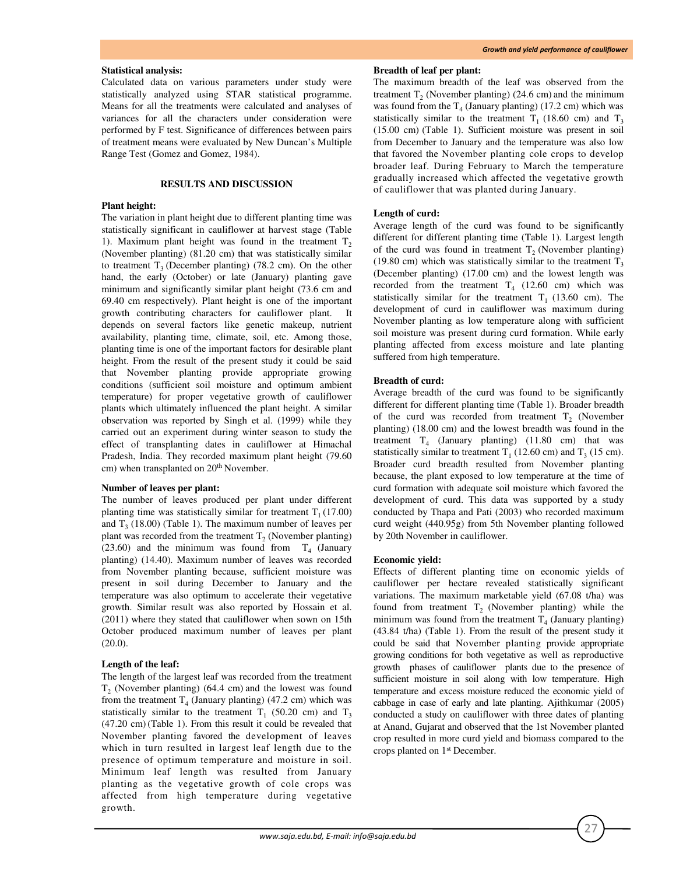#### **Statistical analysis:**

Calculated data on various parameters under study were statistically analyzed using STAR statistical programme. Means for all the treatments were calculated and analyses of variances for all the characters under consideration were performed by F test. Significance of differences between pairs of treatment means were evaluated by New Duncan's Multiple Range Test (Gomez and Gomez, 1984).

# **RESULTS AND DISCUSSION**

#### **Plant height:**

The variation in plant height due to different planting time was statistically significant in cauliflower at harvest stage (Table 1). Maximum plant height was found in the treatment  $T<sub>2</sub>$ (November planting) (81.20 cm) that was statistically similar to treatment  $T_3$  (December planting) (78.2 cm). On the other hand, the early (October) or late (January) planting gave minimum and significantly similar plant height (73.6 cm and 69.40 cm respectively). Plant height is one of the important growth contributing characters for cauliflower plant. It depends on several factors like genetic makeup, nutrient availability, planting time, climate, soil, etc. Among those, planting time is one of the important factors for desirable plant height. From the result of the present study it could be said that November planting provide appropriate growing conditions (sufficient soil moisture and optimum ambient temperature) for proper vegetative growth of cauliflower plants which ultimately influenced the plant height. A similar observation was reported by Singh et al. (1999) while they carried out an experiment during winter season to study the effect of transplanting dates in cauliflower at Himachal Pradesh, India. They recorded maximum plant height (79.60 cm) when transplanted on 20<sup>th</sup> November.

#### **Number of leaves per plant:**

The number of leaves produced per plant under different planting time was statistically similar for treatment  $T_1(17.00)$ and  $T_3$  (18.00) (Table 1). The maximum number of leaves per plant was recorded from the treatment  $T_2$  (November planting) (23.60) and the minimum was found from  $T_4$  (January planting) (14.40). Maximum number of leaves was recorded from November planting because, sufficient moisture was present in soil during December to January and the temperature was also optimum to accelerate their vegetative growth. Similar result was also reported by Hossain et al. (2011) where they stated that cauliflower when sown on 15th October produced maximum number of leaves per plant  $(20.0).$ 

#### **Length of the leaf:**

The length of the largest leaf was recorded from the treatment  $T_2$  (November planting) (64.4 cm) and the lowest was found from the treatment  $T_4$  (January planting) (47.2 cm) which was statistically similar to the treatment  $T_1$  (50.20 cm) and  $T_3$ (47.20 cm) (Table 1). From this result it could be revealed that November planting favored the development of leaves which in turn resulted in largest leaf length due to the presence of optimum temperature and moisture in soil. Minimum leaf length was resulted from January planting as the vegetative growth of cole crops was affected from high temperature during vegetative growth.

# **Breadth of leaf per plant:**

The maximum breadth of the leaf was observed from the treatment  $T_2$  (November planting) (24.6 cm) and the minimum was found from the  $T_4$  (January planting) (17.2 cm) which was statistically similar to the treatment  $T_1$  (18.60 cm) and  $T_3$ (15.00 cm) (Table 1). Sufficient moisture was present in soil from December to January and the temperature was also low that favored the November planting cole crops to develop broader leaf. During February to March the temperature gradually increased which affected the vegetative growth of cauliflower that was planted during January.

# **Length of curd:**

Average length of the curd was found to be significantly different for different planting time (Table 1). Largest length of the curd was found in treatment  $T_2$  (November planting) (19.80 cm) which was statistically similar to the treatment  $T_3$ (December planting) (17.00 cm) and the lowest length was recorded from the treatment  $T_4$  (12.60 cm) which was statistically similar for the treatment  $T_1$  (13.60 cm). The development of curd in cauliflower was maximum during November planting as low temperature along with sufficient soil moisture was present during curd formation. While early planting affected from excess moisture and late planting suffered from high temperature.

#### **Breadth of curd:**

Average breadth of the curd was found to be significantly different for different planting time (Table 1). Broader breadth of the curd was recorded from treatment  $T_2$  (November planting) (18.00 cm) and the lowest breadth was found in the treatment  $T_4$  (January planting) (11.80 cm) that was statistically similar to treatment  $T_1$  (12.60 cm) and  $T_3$  (15 cm). Broader curd breadth resulted from November planting because, the plant exposed to low temperature at the time of curd formation with adequate soil moisture which favored the development of curd. This data was supported by a study conducted by Thapa and Pati (2003) who recorded maximum curd weight (440.95g) from 5th November planting followed by 20th November in cauliflower.

#### **Economic yield:**

Effects of different planting time on economic yields of cauliflower per hectare revealed statistically significant variations. The maximum marketable yield (67.08 t/ha) was found from treatment  $T_2$  (November planting) while the minimum was found from the treatment  $T_4$  (January planting) (43.84 t/ha) (Table 1). From the result of the present study it could be said that November planting provide appropriate growing conditions for both vegetative as well as reproductive growth phases of cauliflower plants due to the presence of sufficient moisture in soil along with low temperature. High temperature and excess moisture reduced the economic yield of cabbage in case of early and late planting. Ajithkumar (2005) conducted a study on cauliflower with three dates of planting at Anand, Gujarat and observed that the 1st November planted crop resulted in more curd yield and biomass compared to the crops planted on 1st December.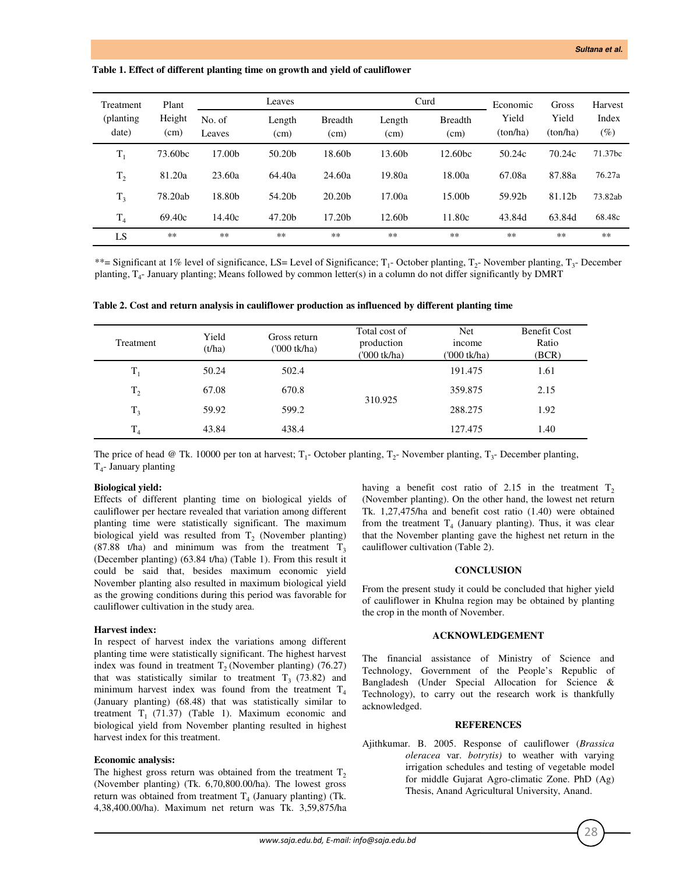#### **Table 1. Effect of different planting time on growth and yield of cauliflower**

| Treatment<br>(planting)<br>date) | Plant<br>Height<br>(cm) | Leaves           |                    |                        | Curd               |                        | Economic          | Gross             | Harvest         |
|----------------------------------|-------------------------|------------------|--------------------|------------------------|--------------------|------------------------|-------------------|-------------------|-----------------|
|                                  |                         | No. of<br>Leaves | Length<br>(cm)     | <b>Breadth</b><br>(cm) | Length<br>(cm)     | <b>Breadth</b><br>(cm) | Yield<br>(ton/ha) | Yield<br>(ton/ha) | Index<br>$(\%)$ |
| $T_1$                            | 73.60 <sub>bc</sub>     | 17.00b           | 50.20 <sub>b</sub> | 18.60b                 | 13.60 <sub>b</sub> | 12.60 <sub>bc</sub>    | 50.24c            | 70.24c            | 71.37bc         |
| $\mathrm{T}_2$                   | 81.20a                  | 23.60a           | 64.40a             | 24.60a                 | 19.80a             | 18.00a                 | 67.08a            | 87.88a            | 76.27a          |
| $T_3$                            | 78.20ab                 | 18.80b           | 54.20 <sub>b</sub> | 20.20 <sub>b</sub>     | 17.00a             | 15.00 <sub>b</sub>     | 59.92b            | 81.12b            | 73.82ab         |
| T <sub>4</sub>                   | 69.40c                  | 14.40c           | 47.20 <sub>b</sub> | 17.20 <sub>b</sub>     | 12.60b             | 11.80c                 | 43.84d            | 63.84d            | 68.48c          |
| LS                               | **                      | **               | $***$              | $***$                  | **                 | $**$                   | **                | $***$             | $**$            |

\*\*= Significant at 1% level of significance, LS= Level of Significance;  $T_1$ - October planting,  $T_2$ - November planting,  $T_3$ - December planting, T<sup>4</sup> - January planting; Means followed by common letter(s) in a column do not differ significantly by DMRT

| Table 2. Cost and return analysis in cauliflower production as influenced by different planting time |  |  |  |
|------------------------------------------------------------------------------------------------------|--|--|--|
|                                                                                                      |  |  |  |

| Treatment      | Yield<br>(t/ha) | Gross return<br>$(000$ tk/ha) | Total cost of<br>production<br>('000 tk/ha) | <b>Net</b><br><i>n</i> come<br>('000 tk/ha) | <b>Benefit Cost</b><br>Ratio<br>(BCR) |
|----------------|-----------------|-------------------------------|---------------------------------------------|---------------------------------------------|---------------------------------------|
| $T_1$          | 50.24           | 502.4                         |                                             | 191.475                                     | 1.61                                  |
| T <sub>2</sub> | 67.08           | 670.8                         | 310.925                                     | 359.875                                     | 2.15                                  |
| $T_3$          | 59.92           | 599.2                         |                                             | 288.275                                     | 1.92                                  |
| T <sub>4</sub> | 43.84           | 438.4                         |                                             | 127.475                                     | 1.40                                  |

The price of head @ Tk. 10000 per ton at harvest;  $T_1$ - October planting,  $T_2$ - November planting,  $T_3$ - December planting, T4 - January planting

#### **Biological yield:**

Effects of different planting time on biological yields of cauliflower per hectare revealed that variation among different planting time were statistically significant. The maximum biological yield was resulted from  $T_2$  (November planting) (87.88 t/ha) and minimum was from the treatment  $T_3$ (December planting) (63.84 t/ha) (Table 1). From this result it could be said that, besides maximum economic yield November planting also resulted in maximum biological yield as the growing conditions during this period was favorable for cauliflower cultivation in the study area.

#### **Harvest index:**

In respect of harvest index the variations among different planting time were statistically significant. The highest harvest index was found in treatment  $T_2$  (November planting) (76.27) that was statistically similar to treatment  $T_3$  (73.82) and minimum harvest index was found from the treatment  $T_4$ (January planting) (68.48) that was statistically similar to treatment  $T_1$  (71.37) (Table 1). Maximum economic and biological yield from November planting resulted in highest harvest index for this treatment.

#### **Economic analysis:**

The highest gross return was obtained from the treatment  $T_2$ (November planting) (Tk. 6,70,800.00/ha). The lowest gross return was obtained from treatment  $T_4$  (January planting) (Tk. 4,38,400.00/ha). Maximum net return was Tk. 3,59,875/ha having a benefit cost ratio of 2.15 in the treatment  $T_2$ (November planting). On the other hand, the lowest net return Tk. 1,27,475/ha and benefit cost ratio (1.40) were obtained from the treatment  $T_4$  (January planting). Thus, it was clear that the November planting gave the highest net return in the cauliflower cultivation (Table 2).

# **CONCLUSION**

From the present study it could be concluded that higher yield of cauliflower in Khulna region may be obtained by planting the crop in the month of November.

### **ACKNOWLEDGEMENT**

The financial assistance of Ministry of Science and Technology, Government of the People's Republic of Bangladesh (Under Special Allocation for Science & Technology), to carry out the research work is thankfully acknowledged.

#### **REFERENCES**

Ajithkumar. B. 2005. Response of cauliflower (*Brassica oleracea* var. *botrytis)* to weather with varying irrigation schedules and testing of vegetable model for middle Gujarat Agro-climatic Zone. PhD (Ag) Thesis, Anand Agricultural University, Anand.